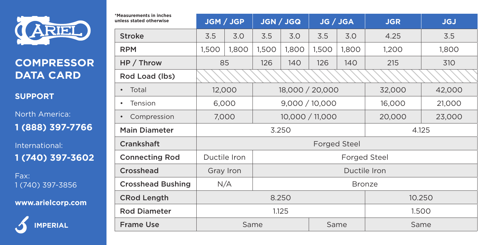

## **COMPRESSOR DATA CARD**

**SUPPORT**

North America: **1 (888) 397-7766**

International: **1 (740) 397-3602**

Fax: 1 (740) 397-3856

**www.arielcorp.com**



| *Measurements in inches<br>unless stated otherwise | JGM / JGP                    |       | JGN / JGQ       |       | JG / JGA |       | <b>JGR</b> | <b>JGJ</b> |  |  |
|----------------------------------------------------|------------------------------|-------|-----------------|-------|----------|-------|------------|------------|--|--|
| Stroke                                             | 3.5                          | 3.0   | 3.5             | 3.0   | 3.5      | 3.0   | 4.25       | 3.5        |  |  |
| <b>RPM</b>                                         | 1,500                        | 1,800 | 1,500           | 1,800 | 1,500    | 1,800 | 1,200      | 1,800      |  |  |
| HP / Throw                                         | 85                           |       | 126             | 140   | 126      | 140   | 215        | 310        |  |  |
| Rod Load (lbs)                                     |                              |       |                 |       |          |       |            |            |  |  |
| Total<br>٠                                         | 12,000                       |       | 18,000 / 20,000 |       |          |       | 32,000     | 42,000     |  |  |
| Tension<br>٠                                       | 6,000                        |       | 9,000 / 10,000  |       |          |       | 16,000     | 21,000     |  |  |
| Compression<br>$\bullet$                           | 7.000                        |       | 10,000 / 11,000 |       |          |       | 20,000     | 23,000     |  |  |
| <b>Main Diameter</b>                               | 3.250<br>4.125               |       |                 |       |          |       |            |            |  |  |
| Crankshaft                                         | <b>Forged Steel</b>          |       |                 |       |          |       |            |            |  |  |
| <b>Connecting Rod</b>                              | Ductile Iron<br>Forged Steel |       |                 |       |          |       |            |            |  |  |
| Crosshead                                          | Ductile Iron<br>Gray Iron    |       |                 |       |          |       |            |            |  |  |
| <b>Crosshead Bushing</b>                           | N/A<br>Bronze                |       |                 |       |          |       |            |            |  |  |
| <b>CRod Length</b>                                 | 8.250                        |       |                 |       |          |       | 10.250     |            |  |  |
| <b>Rod Diameter</b>                                | 1.125<br>1.500               |       |                 |       |          |       |            |            |  |  |
| <b>Frame Use</b>                                   | Same                         |       |                 |       |          | Same  | Same       |            |  |  |